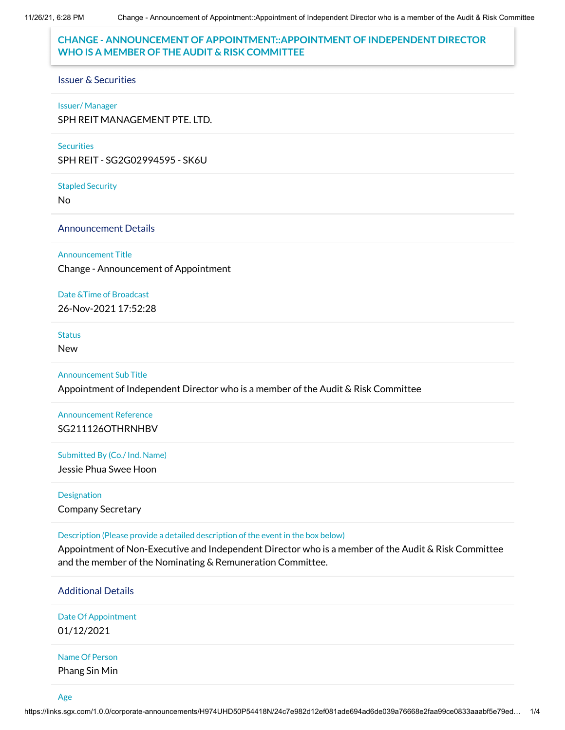## **CHANGE - ANNOUNCEMENT OF APPOINTMENT::APPOINTMENT OF INDEPENDENT DIRECTOR WHO IS A MEMBER OF THE AUDIT & RISK COMMITTEE**

### Issuer & Securities

### Issuer/ Manager

SPH REIT MANAGEMENT PTE. LTD.

### **Securities**

SPH REIT - SG2G02994595 - SK6U

Stapled Security

No

## Announcement Details

Announcement Title

Change - Announcement of Appointment

Date &Time of Broadcast

26-Nov-2021 17:52:28

## **Status**

New

### Announcement Sub Title

Appointment of Independent Director who is a member of the Audit & Risk Committee

Announcement Reference SG211126OTHRNHBV

Submitted By (Co./ Ind. Name) Jessie Phua Swee Hoon

Designation Company Secretary

Description (Please provide a detailed description of the event in the box below)

Appointment of Non-Executive and Independent Director who is a member of the Audit & Risk Committee and the member of the Nominating & Remuneration Committee.

### Additional Details

Date Of Appointment 01/12/2021

# Name Of Person

Phang Sin Min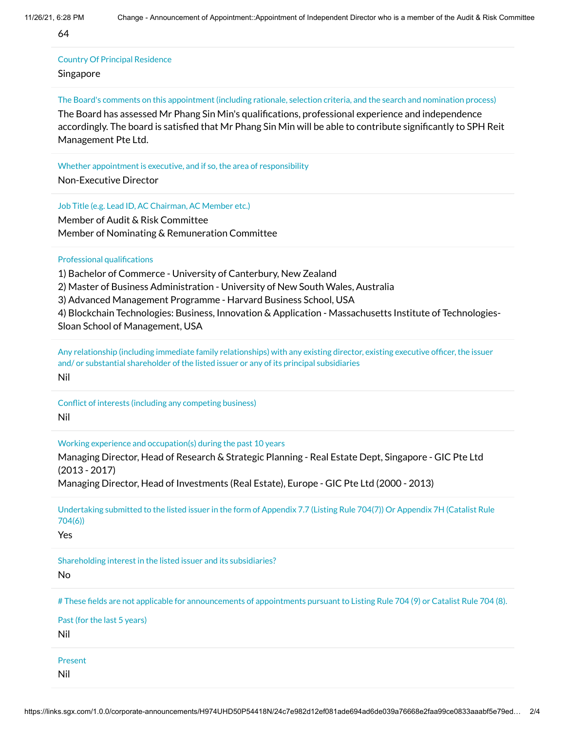64

## Country Of Principal Residence

Singapore

#### The Board's comments on this appointment (including rationale, selection criteria, and the search and nomination process)

The Board has assessed Mr Phang Sin Min's qualifications, professional experience and independence accordingly. The board is satisfied that Mr Phang Sin Min will be able to contribute significantly to SPH Reit Management Pte Ltd.

Whether appointment is executive, and if so, the area of responsibility

Non-Executive Director

Job Title (e.g. Lead ID, AC Chairman, AC Member etc.)

Member of Audit & Risk Committee Member of Nominating & Remuneration Committee

Professional qualifications

1) Bachelor of Commerce - University of Canterbury, New Zealand

2) Master of Business Administration - University of New South Wales, Australia

3) Advanced Management Programme - Harvard Business School, USA

4) Blockchain Technologies: Business, Innovation & Application - Massachusetts Institute of Technologies-Sloan School of Management, USA

Any relationship (including immediate family relationships) with any existing director, existing executive officer, the issuer and/ or substantial shareholder of the listed issuer or any of its principal subsidiaries Nil

Conflict of interests (including any competing business) Nil

Working experience and occupation(s) during the past 10 years

Managing Director, Head of Research & Strategic Planning - Real Estate Dept, Singapore - GIC Pte Ltd (2013 - 2017)

Managing Director, Head of Investments (Real Estate), Europe - GIC Pte Ltd (2000 - 2013)

Undertaking submitted to the listed issuer in the form of Appendix 7.7 (Listing Rule 704(7)) Or Appendix 7H (Catalist Rule 704(6)) Yes Shareholding interest in the listed issuer and its subsidiaries? No # These fields are not applicable for announcements of appointments pursuant to Listing Rule 704 (9) or Catalist Rule 704 (8). Past (for the last 5 years) Nil Present Nil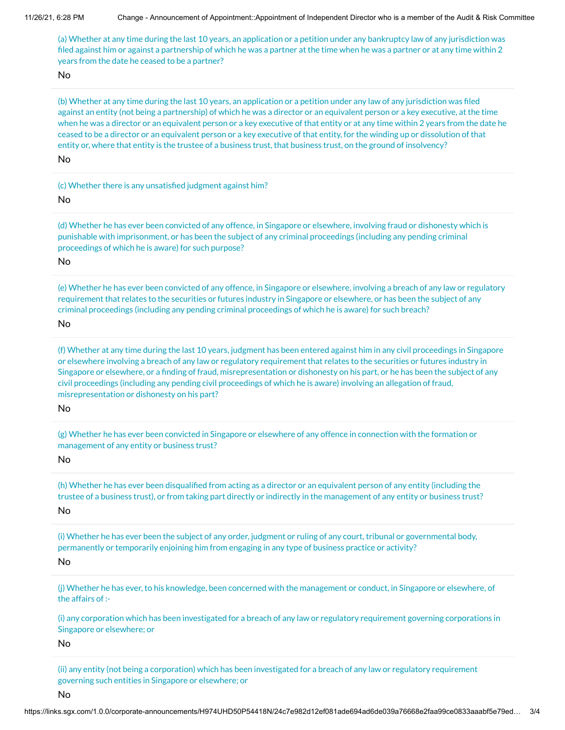(a) Whether at any time during the last 10 years, an application or a petition under any bankruptcy law of any jurisdiction was filed against him or against a partnership of which he was a partner at the time when he was a partner or at any time within 2 years from the date he ceased to be a partner?

No

(b) Whether at any time during the last 10 years, an application or a petition under any law of any jurisdiction was filed against an entity (not being a partnership) of which he was a director or an equivalent person or a key executive, at the time when he was a director or an equivalent person or a key executive of that entity or at any time within 2 years from the date he ceased to be a director or an equivalent person or a key executive of that entity, for the winding up or dissolution of that entity or, where that entity is the trustee of a business trust, that business trust, on the ground of insolvency?

No

(c) Whether there is any unsatisfied judgment against him?

No

(d) Whether he has ever been convicted of any offence, in Singapore or elsewhere, involving fraud or dishonesty which is punishable with imprisonment, or has been the subject of any criminal proceedings (including any pending criminal proceedings of which he is aware) for such purpose?

No

(e) Whether he has ever been convicted of any offence, in Singapore or elsewhere, involving a breach of any law or regulatory requirement that relates to the securities or futures industry in Singapore or elsewhere, or has been the subject of any criminal proceedings (including any pending criminal proceedings of which he is aware) for such breach?

No

(f) Whether at any time during the last 10 years, judgment has been entered against him in any civil proceedings in Singapore or elsewhere involving a breach of any law or regulatory requirement that relates to the securities or futures industry in Singapore or elsewhere, or a finding of fraud, misrepresentation or dishonesty on his part, or he has been the subject of any civil proceedings (including any pending civil proceedings of which he is aware) involving an allegation of fraud, misrepresentation or dishonesty on his part?

No

(g) Whether he has ever been convicted in Singapore or elsewhere of any offence in connection with the formation or management of any entity or business trust?

No

(h) Whether he has ever been disqualified from acting as a director or an equivalent person of any entity (including the trustee of a business trust), or from taking part directly or indirectly in the management of any entity or business trust? No

(i) Whether he has ever been the subject of any order, judgment or ruling of any court, tribunal or governmental body, permanently or temporarily enjoining him from engaging in any type of business practice or activity? No

(j) Whether he has ever, to his knowledge, been concerned with the management or conduct, in Singapore or elsewhere, of the affairs of :-

(i) any corporation which has been investigated for a breach of any law or regulatory requirement governing corporations in Singapore or elsewhere; or

No

(ii) any entity (not being a corporation) which has been investigated for a breach of any law or regulatory requirement governing such entities in Singapore or elsewhere; or

No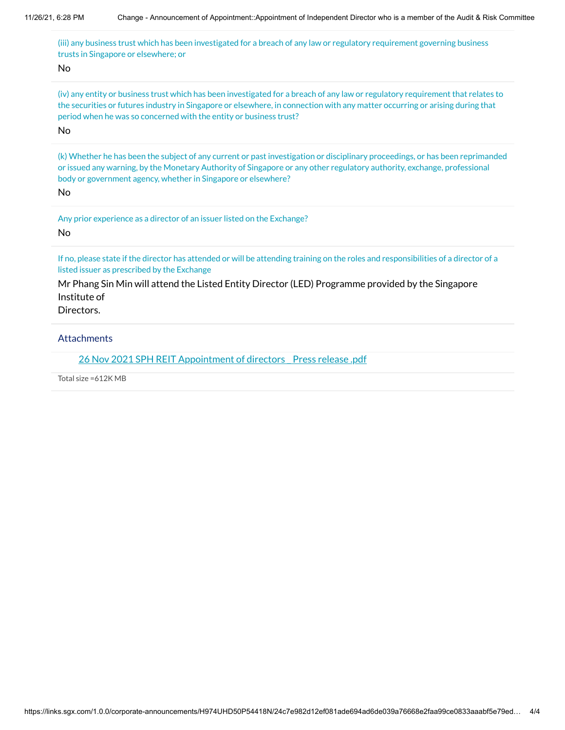(iii) any business trust which has been investigated for a breach of any law or regulatory requirement governing business trusts in Singapore or elsewhere; or

No

(iv) any entity or business trust which has been investigated for a breach of any law or regulatory requirement that relates to the securities or futures industry in Singapore or elsewhere, in connection with any matter occurring or arising during that period when he was so concerned with the entity or business trust?

No

(k) Whether he has been the subject of any current or past investigation or disciplinary proceedings, or has been reprimanded or issued any warning, by the Monetary Authority of Singapore or any other regulatory authority, exchange, professional body or government agency, whether in Singapore or elsewhere?

No

Any prior experience as a director of an issuer listed on the Exchange? No

If no, please state if the director has attended or will be attending training on the roles and responsibilities of a director of a listed issuer as prescribed by the Exchange

Mr Phang Sin Min will attend the Listed Entity Director (LED) Programme provided by the Singapore Institute of

Directors.

**Attachments** 

26 Nov 2021 SPH REIT [Appointment of](https://links.sgx.com/1.0.0/corporate-announcements/H974UHD50P54418N/692247_26%20Nov%202021%20SPH%20REIT%20Appointment%20of%20directors%20_%20Press%20release%20.pdf) directors Press release .pdf

Total size =612K MB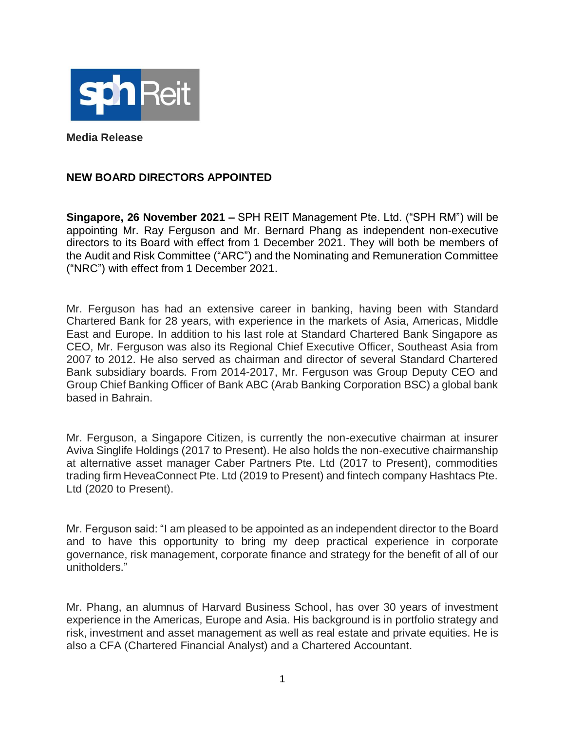

**Media Release**

## **NEW BOARD DIRECTORS APPOINTED**

**Singapore, 26 November 2021 –** SPH REIT Management Pte. Ltd. ("SPH RM") will be appointing Mr. Ray Ferguson and Mr. Bernard Phang as independent non-executive directors to its Board with effect from 1 December 2021. They will both be members of the Audit and Risk Committee ("ARC") and the Nominating and Remuneration Committee ("NRC") with effect from 1 December 2021.

Mr. Ferguson has had an extensive career in banking, having been with Standard Chartered Bank for 28 years, with experience in the markets of Asia, Americas, Middle East and Europe. In addition to his last role at Standard Chartered Bank Singapore as CEO, Mr. Ferguson was also its Regional Chief Executive Officer, Southeast Asia from 2007 to 2012. He also served as chairman and director of several Standard Chartered Bank subsidiary boards. From 2014-2017, Mr. Ferguson was Group Deputy CEO and Group Chief Banking Officer of Bank ABC (Arab Banking Corporation BSC) a global bank based in Bahrain.

Mr. Ferguson, a Singapore Citizen, is currently the non-executive chairman at insurer Aviva Singlife Holdings (2017 to Present). He also holds the non-executive chairmanship at alternative asset manager Caber Partners Pte. Ltd (2017 to Present), commodities trading firm HeveaConnect Pte. Ltd (2019 to Present) and fintech company Hashtacs Pte. Ltd (2020 to Present).

Mr. Ferguson said: "I am pleased to be appointed as an independent director to the Board and to have this opportunity to bring my deep practical experience in corporate governance, risk management, corporate finance and strategy for the benefit of all of our unitholders."

Mr. Phang, an alumnus of Harvard Business School, has over 30 years of investment experience in the Americas, Europe and Asia. His background is in portfolio strategy and risk, investment and asset management as well as real estate and private equities. He is also a CFA (Chartered Financial Analyst) and a Chartered Accountant.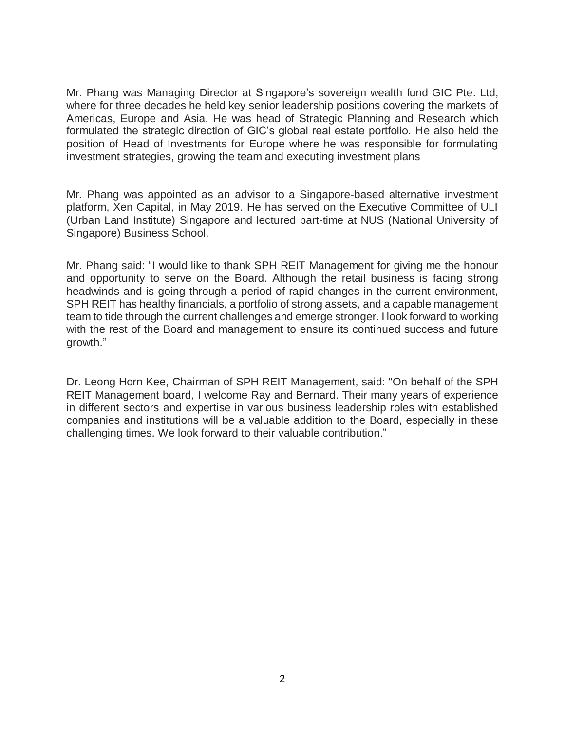Mr. Phang was Managing Director at Singapore's sovereign wealth fund GIC Pte. Ltd, where for three decades he held key senior leadership positions covering the markets of Americas, Europe and Asia. He was head of Strategic Planning and Research which formulated the strategic direction of GIC's global real estate portfolio. He also held the position of Head of Investments for Europe where he was responsible for formulating investment strategies, growing the team and executing investment plans

Mr. Phang was appointed as an advisor to a Singapore-based alternative investment platform, Xen Capital, in May 2019. He has served on the Executive Committee of ULI (Urban Land Institute) Singapore and lectured part-time at NUS (National University of Singapore) Business School.

Mr. Phang said: "I would like to thank SPH REIT Management for giving me the honour and opportunity to serve on the Board. Although the retail business is facing strong headwinds and is going through a period of rapid changes in the current environment, SPH REIT has healthy financials, a portfolio of strong assets, and a capable management team to tide through the current challenges and emerge stronger. I look forward to working with the rest of the Board and management to ensure its continued success and future growth."

Dr. Leong Horn Kee, Chairman of SPH REIT Management, said: "On behalf of the SPH REIT Management board, I welcome Ray and Bernard. Their many years of experience in different sectors and expertise in various business leadership roles with established companies and institutions will be a valuable addition to the Board, especially in these challenging times. We look forward to their valuable contribution."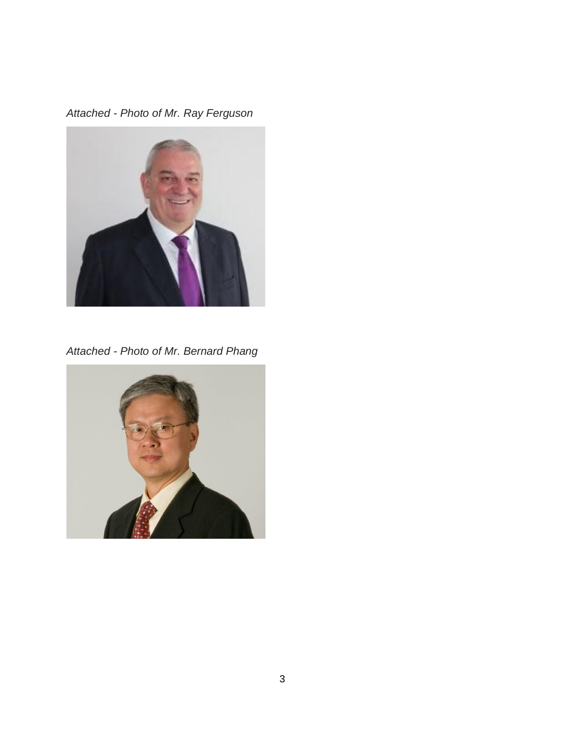*Attached - Photo of Mr. Ray Ferguson*



*Attached - Photo of Mr. Bernard Phang*

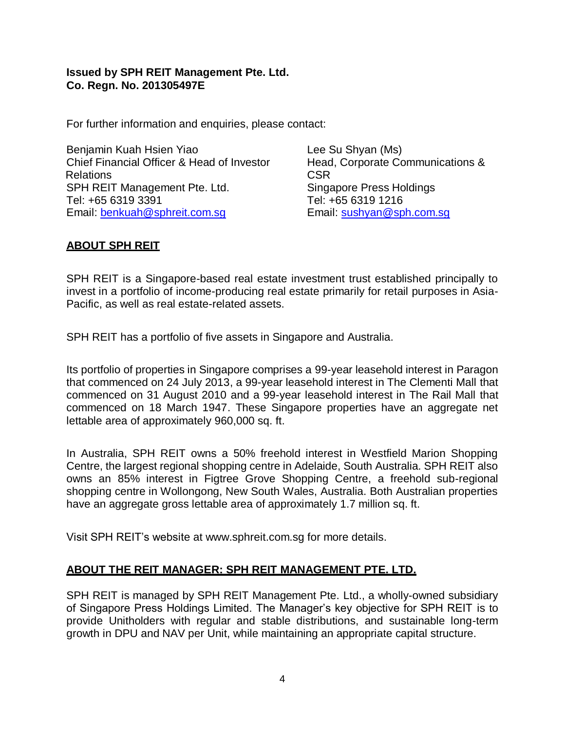## **Issued by SPH REIT Management Pte. Ltd. Co. Regn. No. 201305497E**

For further information and enquiries, please contact:

Benjamin Kuah Hsien Yiao Chief Financial Officer & Head of Investor **Relations** SPH REIT Management Pte. Ltd. Tel: +65 6319 3391 Email: [benkuah@sphreit.com.sg](about:blank)

Lee Su Shyan (Ms) Head, Corporate Communications & CSR Singapore Press Holdings Tel: +65 6319 1216 Email: [sushyan@sph.com.sg](about:blank)

# **ABOUT SPH REIT**

SPH REIT is a Singapore-based real estate investment trust established principally to invest in a portfolio of income-producing real estate primarily for retail purposes in Asia-Pacific, as well as real estate-related assets.

SPH REIT has a portfolio of five assets in Singapore and Australia.

Its portfolio of properties in Singapore comprises a 99-year leasehold interest in Paragon that commenced on 24 July 2013, a 99-year leasehold interest in The Clementi Mall that commenced on 31 August 2010 and a 99-year leasehold interest in The Rail Mall that commenced on 18 March 1947. These Singapore properties have an aggregate net lettable area of approximately 960,000 sq. ft.

In Australia, SPH REIT owns a 50% freehold interest in Westfield Marion Shopping Centre, the largest regional shopping centre in Adelaide, South Australia. SPH REIT also owns an 85% interest in Figtree Grove Shopping Centre, a freehold sub-regional shopping centre in Wollongong, New South Wales, Australia. Both Australian properties have an aggregate gross lettable area of approximately 1.7 million sq. ft.

Visit SPH REIT's website at www.sphreit.com.sg for more details.

# **ABOUT THE REIT MANAGER: SPH REIT MANAGEMENT PTE. LTD.**

SPH REIT is managed by SPH REIT Management Pte. Ltd., a wholly-owned subsidiary of Singapore Press Holdings Limited. The Manager's key objective for SPH REIT is to provide Unitholders with regular and stable distributions, and sustainable long-term growth in DPU and NAV per Unit, while maintaining an appropriate capital structure.